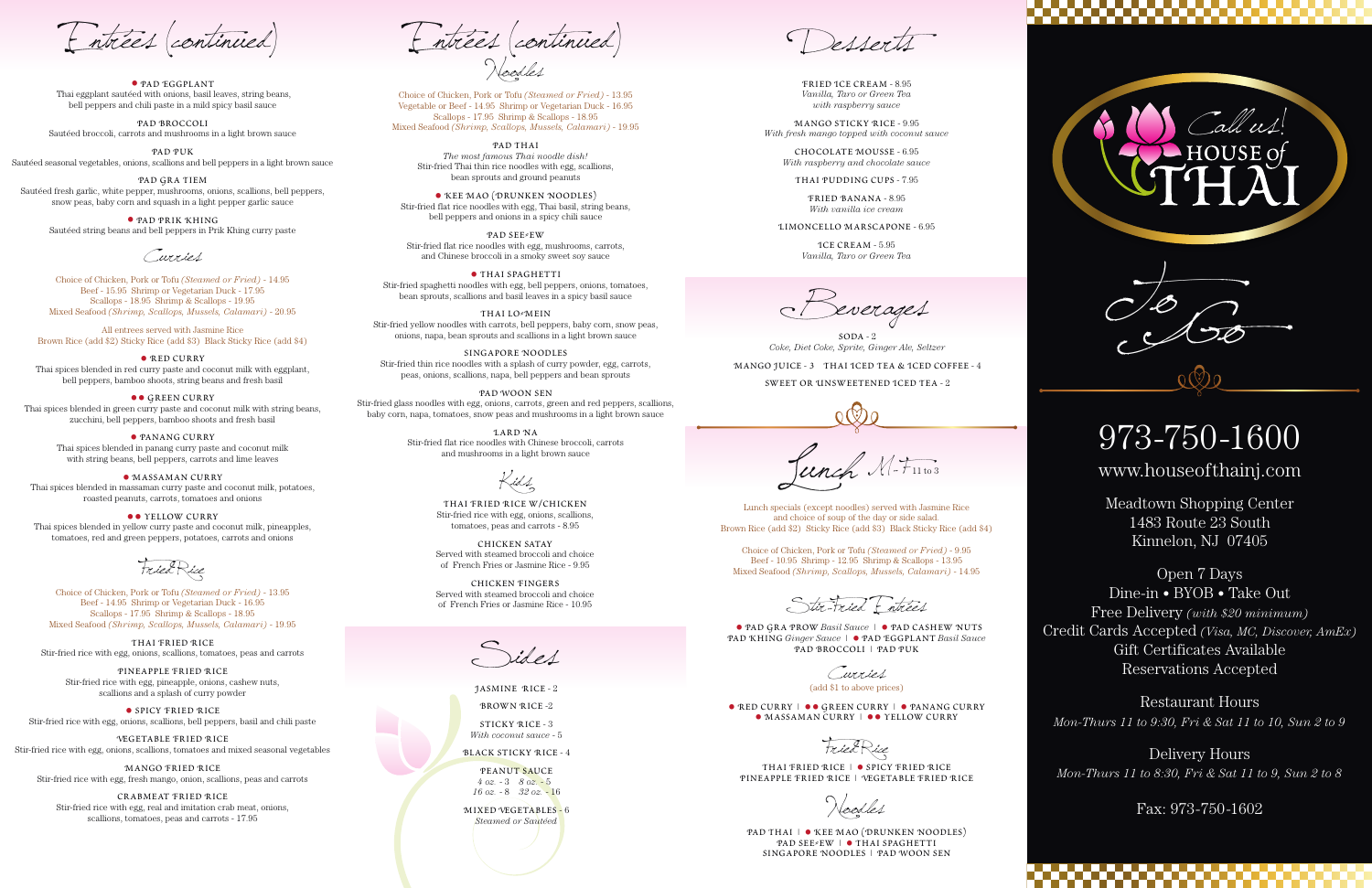Lunch specials (except noodles) served with Jasmine Rice and choice of soup of the day or side salad. Brown Rice (add \$2) Sticky Rice (add \$3) Black Sticky Rice (add \$4)

Choice of Chicken, Pork or Tofu *(Steamed or Fried)* - 9.95 Beef - 10.95 Shrimp - 12.95 Shrimp & Scallops - 13.95 Mixed Seafood *(Shrimp, Scallops, Mussels, Calamari)* - 14.95

THAI FRIED RICE | • SPICY FRIED RICE Pineapple Fried Rice | Vegetable Fried Rice

Stir-Fried Entrées

PAD THAI | • KEE MAO (DRUNKEN NOODLES) PAD SEE EW | • THAI SPAGHETTI Singapore Noodles | Pad Woon Sen

• Pad Gra Prow *Basil Sauce |* • Pad Cashew Nuts Pad Khing *Ginger Sauce* <sup>|</sup>• Pad Eggplant *Basil Sauce* Pad Broccoli | Pad Puk

Curries (add \$1 to above prices)

• RED CURRY | •• GREEN CURRY | • PANANG CURRY • MASSAMAN CURRY | • • YELLOW CURRY

FriedRice

Noodles

**PAD SEE≠EW** Stir-fried flat rice noodles with egg, mushrooms, carrots, and Chinese broccoli in a smoky sweet soy sauce

• THAI SPAGHETTI Stir-fried spaghetti noodles with egg, bell peppers, onions, tomatoes, bean sprouts, scallions and basil leaves in a spicy basil sauce

Noodles

THAI LO<sup>2</sup>MEIN Stir-fried yellow noodles with carrots, bell peppers, baby corn, snow peas, onions, napa, bean sprouts and scallions in a light brown sauce

Choice of Chicken, Pork or Tofu *(Steamed or Fried)* - 13.95 Vegetable or Beef - 14.95 Shrimp or Vegetarian Duck - 16.95 Scallops - 17.95 Shrimp & Scallops - 18.95 Mixed Seafood *(Shrimp, Scallops, Mussels, Calamari)* - 19.95

> Pad Thai *The most famous Thai noodle dish!* Stir-fried Thai thin rice noodles with egg, scallions, bean sprouts and ground peanuts

 $SODA - 2$ *Coke, Diet Coke, Sprite, Ginger Ale, Seltzer*

•Kee Mao (Drunken Noodles) Stir-fried flat rice noodles with egg, Thai basil, string beans, bell peppers and onions in a spicy chili sauce

> PEANUT SAUCE *4 oz.* - 3 *8 oz.* - 5 *16 oz.* - 8 *32 oz.* - 16

Singapore Noodles Stir-fried thin rice noodles with a splash of curry powder, egg, carrots, peas, onions, scallions, napa, bell peppers and bean sprouts

Pad Woon Sen Stir-fried glass noodles with egg, onions, carrots, green and red peppers, scallions, baby corn, napa, tomatoes, snow peas and mushrooms in a light brown sauce

**•• GREEN CURRY** Thai spices blended in green curry paste and coconut milk with string beans, zucchini, bell peppers, bamboo shoots and fresh basil

> Lard Na Stir-fried flat rice noodles with Chinese broccoli, carrots and mushrooms in a light brown sauce

• MASSAMAN CURRY Thai spices blended in massaman curry paste and coconut milk, potatoes, roasted peanuts, carrots, tomatoes and onions

**••** YELLOW CURRY Thai spices blended in yellow curry paste and coconut milk, pineapples, tomatoes, red and green peppers, potatoes, carrots and onions

Mango Juice - 3 Thai Iced Tea & Iced Coffee - 4 Sweet or Unsweetened Iced Tea - 2

Junch M-F1163

Entrées (continued) Entrées (continued)

Fried Ice Cream - 8.95 *Vanilla, Taro or Green Tea with raspberry sauce*

Mango Sticky Rice - 9.95 *With fresh mango topped with coconut sauce*

• SPICY FRIED RICE Stir-fried rice with egg, onions, scallions, bell peppers, basil and chili paste

Chocolate Mousse - 6.95 *With raspberry and chocolate sauce*

Thai Pudding Cups - 7.95

Fried Banana - 8.95 *With vanilla ice cream*

Limoncello Marscapone - 6.95

Ice Cream - 5.95 *Vanilla, Taro or Green Tea*

everages

Desserts

Sides

Jasmine Rice - 2

Brown Rice -2

Sticky Rice - 3 *With coconut sauce* - 5

Black Sticky Rice - 4

Mixed Vegetables - 6 *Steamed or Sautéed*

• Pad Eggplant Thai eggplant sautéed with onions, basil leaves, string beans, bell peppers and chili paste in a mild spicy basil sauce

Pad Broccoli Sautéed broccoli, carrots and mushrooms in a light brown sauce

Pad Puk Sautéed seasonal vegetables, onions, scallions and bell peppers in a light brown sauce

Pad Gra Tiem Sautéed fresh garlic, white pepper, mushrooms, onions, scallions, bell peppers, snow peas, baby corn and squash in a light pepper garlic sauce

• Pad Prik Khing Sautéed string beans and bell peppers in Prik Khing curry paste

Curries

Choice of Chicken, Pork or Tofu *(Steamed or Fried)* - 14.95 Beef - 15.95 Shrimp or Vegetarian Duck - 17.95 Scallops - 18.95 Shrimp & Scallops - 19.95 Mixed Seafood *(Shrimp, Scallops, Mussels, Calamari)* - 20.95

All entrees served with Jasmine Rice Brown Rice (add \$2) Sticky Rice (add \$3) Black Sticky Rice (add \$4)

● RED CURRY Thai spices blended in red curry paste and coconut milk with eggplant, bell peppers, bamboo shoots, string beans and fresh basil

• Panang Curry Thai spices blended in panang curry paste and coconut milk with string beans, bell peppers, carrots and lime leaves

FriedRice

Choice of Chicken, Pork or Tofu *(Steamed or Fried)* - 13.95 Beef - 14.95 Shrimp or Vegetarian Duck - 16.95 Scallops - 17.95 Shrimp & Scallops - 18.95 Mixed Seafood *(Shrimp, Scallops, Mussels, Calamari)* - 19.95

Thai Fried Rice Stir-fried rice with egg, onions, scallions, tomatoes, peas and carrots

Pineapple Fried Rice Stir-fried rice with egg, pineapple, onions, cashew nuts, scallions and a splash of curry powder

Vegetable Fried Rice Stir-fried rice with egg, onions, scallions, tomatoes and mixed seasonal vegetables

Mango Fried Rice Stir-fried rice with egg, fresh mango, onion, scallions, peas and carrots

Crabmeat Fried Rice Stir-fried rice with egg, real and imitation crab meat, onions, scallions, tomatoes, peas and carrots - 17.95

## Kids

Thai Fried Rice w/Chicken Stir-fried rice with egg, onions, scallions, tomatoes, peas and carrots - 8.95

Chicken Satay Served with steamed broccoli and choice of French Fries or Jasmine Rice - 9.95

Chicken Fingers Served with steamed broccoli and choice of French Fries or Jasmine Rice - 10.95

www.houseofthainj.com

Meadtown Shopping Center 1483 Route 23 South Kinnelon, NJ 07405

Open 7 Days Dine-in • BYOB • Take Out Free Delivery *(with \$20 minimum)* Credit Cards Accepted *(Visa, MC, Discover, AmEx)* Gift Certificates Available Reservations Accepted



Restaurant Hours *Mon-Thurs 11 to 9:30, Fri & Sat 11 to 10, Sun 2 to 9*

Delivery Hours *Mon-Thurs 11 to 8:30, Fri & Sat 11 to 9, Sun 2 to 8*

### Fax: 973-750-1602

# 973-750-1600